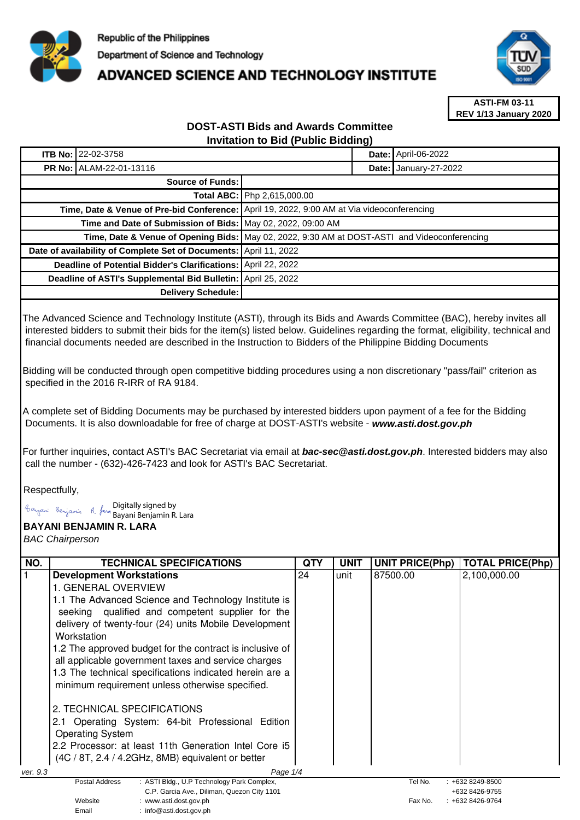

## **ADVANCED SCIENCE AND TECHNOLOGY INSTITUTE**



**ASTI-FM 03-11 REV 1/13 January 2020**

## **DOST-ASTI Bids and Awards Committee Invitation to Bid (Public Bidding)**

| <b>ITB No: 22-02-3758</b>                                                                    |                                                                                            |  | <b>Date: April-06-2022</b>   |
|----------------------------------------------------------------------------------------------|--------------------------------------------------------------------------------------------|--|------------------------------|
| <b>PR No: ALAM-22-01-13116</b>                                                               |                                                                                            |  | <b>Date: January-27-2022</b> |
| <b>Source of Funds:</b>                                                                      |                                                                                            |  |                              |
|                                                                                              | <b>Total ABC:   Php 2,615,000.00</b>                                                       |  |                              |
|                                                                                              | Time, Date & Venue of Pre-bid Conference: April 19, 2022, 9:00 AM at Via videoconferencing |  |                              |
| Time and Date of Submission of Bids: May 02, 2022, 09:00 AM                                  |                                                                                            |  |                              |
| Time, Date & Venue of Opening Bids: May 02, 2022, 9:30 AM at DOST-ASTI and Videoconferencing |                                                                                            |  |                              |
| Date of availability of Complete Set of Documents: April 11, 2022                            |                                                                                            |  |                              |
| Deadline of Potential Bidder's Clarifications: April 22, 2022                                |                                                                                            |  |                              |
| Deadline of ASTI's Supplemental Bid Bulletin: April 25, 2022                                 |                                                                                            |  |                              |
| <b>Delivery Schedule:</b>                                                                    |                                                                                            |  |                              |

The Advanced Science and Technology Institute (ASTI), through its Bids and Awards Committee (BAC), hereby invites all interested bidders to submit their bids for the item(s) listed below. Guidelines regarding the format, eligibility, technical and financial documents needed are described in the Instruction to Bidders of the Philippine Bidding Documents

Bidding will be conducted through open competitive bidding procedures using a non discretionary "pass/fail" criterion as specified in the 2016 R-IRR of RA 9184.

A complete set of Bidding Documents may be purchased by interested bidders upon payment of a fee for the Bidding Documents. It is also downloadable for free of charge at DOST-ASTI's website - **www.asti.dost.gov.ph**

For further inquiries, contact ASTI's BAC Secretariat via email at **bac-sec@asti.dost.gov.ph**. Interested bidders may also call the number - (632)-426-7423 and look for ASTI's BAC Secretariat.

Respectfully,

Digitally signed by

Bayani Benjamin R. Lara

Email : info@asti.dost.gov.ph

**BAYANI BENJAMIN R. LARA** 

BAC Chairperson

| NO.                  | <b>TECHNICAL SPECIFICATIONS</b>                                                                                                                                                                                                                                                                     | <b>QTY</b> | <b>UNIT</b> | <b>UNIT PRICE(Php)</b> | <b>TOTAL PRICE(Php)</b>               |
|----------------------|-----------------------------------------------------------------------------------------------------------------------------------------------------------------------------------------------------------------------------------------------------------------------------------------------------|------------|-------------|------------------------|---------------------------------------|
|                      | <b>Development Workstations</b>                                                                                                                                                                                                                                                                     | 24         | unit        | 87500.00               | 2,100,000.00                          |
|                      | 1. GENERAL OVERVIEW                                                                                                                                                                                                                                                                                 |            |             |                        |                                       |
|                      | 1.1 The Advanced Science and Technology Institute is<br>seeking qualified and competent supplier for the<br>delivery of twenty-four (24) units Mobile Development<br>Workstation<br>1.2 The approved budget for the contract is inclusive of<br>all applicable government taxes and service charges |            |             |                        |                                       |
|                      | 1.3 The technical specifications indicated herein are a<br>minimum requirement unless otherwise specified.                                                                                                                                                                                          |            |             |                        |                                       |
|                      | 2. TECHNICAL SPECIFICATIONS<br>Operating System: 64-bit Professional Edition<br><b>Operating System</b><br>2.2 Processor: at least 11th Generation Intel Core i5<br>(4C / 8T, 2.4 / 4.2GHz, 8MB) equivalent or better                                                                               |            |             |                        |                                       |
| ver. 9.3<br>Page 1/4 |                                                                                                                                                                                                                                                                                                     |            |             |                        |                                       |
|                      | Postal Address<br>: ASTI Bldg., U.P Technology Park Complex,<br>C.P. Garcia Ave., Diliman, Quezon City 1101                                                                                                                                                                                         |            |             | Tel No.                | $: +6328249 - 8500$<br>+632 8426-9755 |
|                      | Website<br>: www.asti.dost.gov.ph                                                                                                                                                                                                                                                                   |            |             | Fax No.                | : +632 8426-9764                      |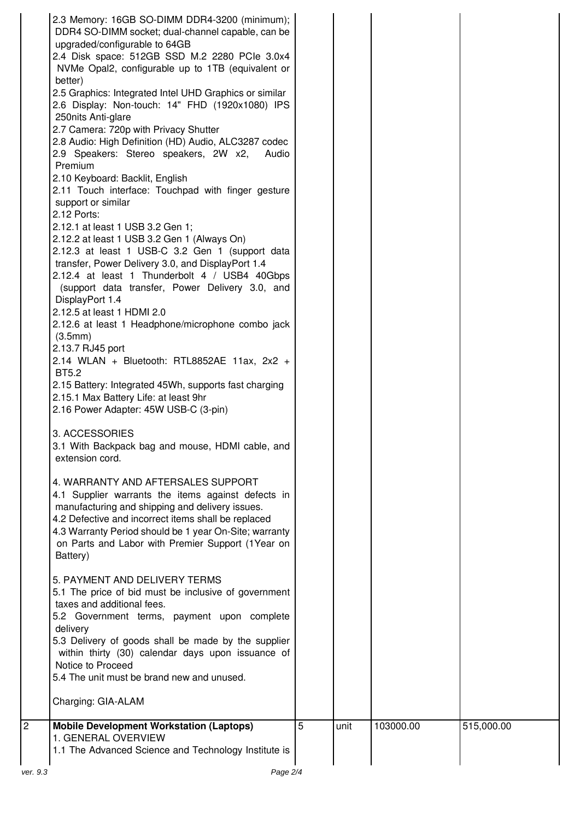| 2.3 Memory: 16GB SO-DIMM DDR4-3200 (minimum);<br>DDR4 SO-DIMM socket; dual-channel capable, can be<br>upgraded/configurable to 64GB<br>2.4 Disk space: 512GB SSD M.2 2280 PCle 3.0x4<br>NVMe Opal2, configurable up to 1TB (equivalent or<br>better)<br>2.5 Graphics: Integrated Intel UHD Graphics or similar<br>2.6 Display: Non-touch: 14" FHD (1920x1080) IPS<br>250nits Anti-glare<br>2.7 Camera: 720p with Privacy Shutter<br>2.8 Audio: High Definition (HD) Audio, ALC3287 codec<br>2.9 Speakers: Stereo speakers, 2W x2,<br>Audio<br>Premium<br>2.10 Keyboard: Backlit, English<br>2.11 Touch interface: Touchpad with finger gesture<br>support or similar<br>2.12 Ports:<br>2.12.1 at least 1 USB 3.2 Gen 1;<br>2.12.2 at least 1 USB 3.2 Gen 1 (Always On)<br>2.12.3 at least 1 USB-C 3.2 Gen 1 (support data<br>transfer, Power Delivery 3.0, and DisplayPort 1.4<br>2.12.4 at least 1 Thunderbolt 4 / USB4 40Gbps<br>(support data transfer, Power Delivery 3.0, and<br>DisplayPort 1.4<br>2.12.5 at least 1 HDMI 2.0<br>2.12.6 at least 1 Headphone/microphone combo jack<br>(3.5mm)<br>2.13.7 RJ45 port<br>2.14 WLAN + Bluetooth: RTL8852AE 11ax, $2x^2$ +<br><b>BT5.2</b><br>2.15 Battery: Integrated 45Wh, supports fast charging<br>2.15.1 Max Battery Life: at least 9hr<br>2.16 Power Adapter: 45W USB-C (3-pin) |   |      |           |            |
|---------------------------------------------------------------------------------------------------------------------------------------------------------------------------------------------------------------------------------------------------------------------------------------------------------------------------------------------------------------------------------------------------------------------------------------------------------------------------------------------------------------------------------------------------------------------------------------------------------------------------------------------------------------------------------------------------------------------------------------------------------------------------------------------------------------------------------------------------------------------------------------------------------------------------------------------------------------------------------------------------------------------------------------------------------------------------------------------------------------------------------------------------------------------------------------------------------------------------------------------------------------------------------------------------------------------------------------|---|------|-----------|------------|
| 3.1 With Backpack bag and mouse, HDMI cable, and<br>extension cord.<br>4. WARRANTY AND AFTERSALES SUPPORT<br>4.1 Supplier warrants the items against defects in<br>manufacturing and shipping and delivery issues.<br>4.2 Defective and incorrect items shall be replaced<br>4.3 Warranty Period should be 1 year On-Site; warranty<br>on Parts and Labor with Premier Support (1Year on<br>Battery)                                                                                                                                                                                                                                                                                                                                                                                                                                                                                                                                                                                                                                                                                                                                                                                                                                                                                                                                  |   |      |           |            |
| 5. PAYMENT AND DELIVERY TERMS<br>5.1 The price of bid must be inclusive of government<br>taxes and additional fees.<br>5.2 Government terms, payment upon complete<br>delivery<br>5.3 Delivery of goods shall be made by the supplier<br>within thirty (30) calendar days upon issuance of<br>Notice to Proceed<br>5.4 The unit must be brand new and unused.<br>Charging: GIA-ALAM                                                                                                                                                                                                                                                                                                                                                                                                                                                                                                                                                                                                                                                                                                                                                                                                                                                                                                                                                   |   |      |           |            |
| <b>Mobile Development Workstation (Laptops)</b><br>1. GENERAL OVERVIEW<br>1.1 The Advanced Science and Technology Institute is                                                                                                                                                                                                                                                                                                                                                                                                                                                                                                                                                                                                                                                                                                                                                                                                                                                                                                                                                                                                                                                                                                                                                                                                        | 5 | unit | 103000.00 | 515,000.00 |
| Page 2/4<br>ver. 9.3                                                                                                                                                                                                                                                                                                                                                                                                                                                                                                                                                                                                                                                                                                                                                                                                                                                                                                                                                                                                                                                                                                                                                                                                                                                                                                                  |   |      |           |            |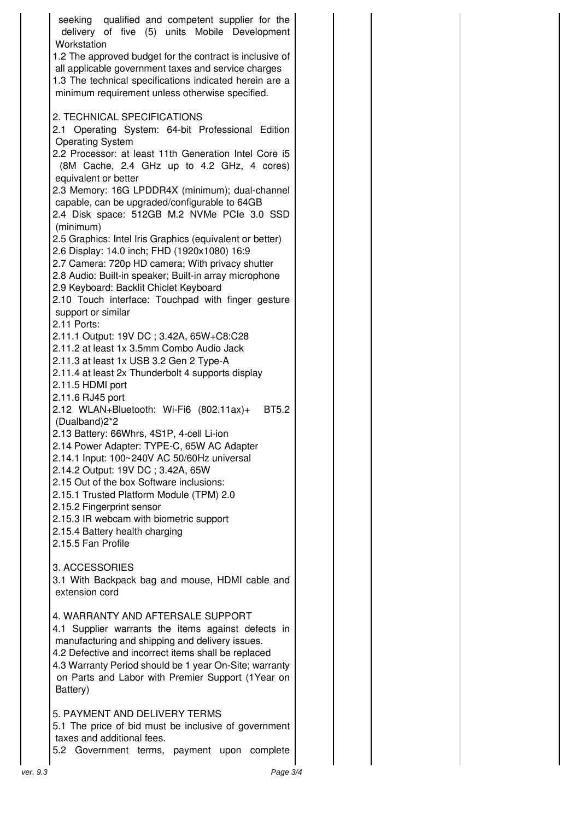| seeking qualified and competent supplier for the<br>delivery of five (5) units Mobile Development<br>Workstation                                                                                                                                                                                                             |  |
|------------------------------------------------------------------------------------------------------------------------------------------------------------------------------------------------------------------------------------------------------------------------------------------------------------------------------|--|
| 1.2 The approved budget for the contract is inclusive of<br>all applicable government taxes and service charges<br>1.3 The technical specifications indicated herein are a<br>minimum requirement unless otherwise specified.                                                                                                |  |
| 2. TECHNICAL SPECIFICATIONS<br>2.1 Operating System: 64-bit Professional Edition<br><b>Operating System</b>                                                                                                                                                                                                                  |  |
| 2.2 Processor: at least 11th Generation Intel Core i5<br>(8M Cache, 2.4 GHz up to 4.2 GHz, 4 cores)<br>equivalent or better                                                                                                                                                                                                  |  |
| 2.3 Memory: 16G LPDDR4X (minimum); dual-channel<br>capable, can be upgraded/configurable to 64GB<br>2.4 Disk space: 512GB M.2 NVMe PCIe 3.0 SSD                                                                                                                                                                              |  |
| (minimum)<br>2.5 Graphics: Intel Iris Graphics (equivalent or better)<br>2.6 Display: 14.0 inch; FHD (1920x1080) 16:9<br>2.7 Camera: 720p HD camera; With privacy shutter                                                                                                                                                    |  |
| 2.8 Audio: Built-in speaker; Built-in array microphone<br>2.9 Keyboard: Backlit Chiclet Keyboard<br>2.10 Touch interface: Touchpad with finger gesture                                                                                                                                                                       |  |
| support or similar<br>2.11 Ports:<br>2.11.1 Output: 19V DC; 3.42A, 65W+C8:C28                                                                                                                                                                                                                                                |  |
| 2.11.2 at least 1x 3.5mm Combo Audio Jack<br>2.11.3 at least 1x USB 3.2 Gen 2 Type-A<br>2.11.4 at least 2x Thunderbolt 4 supports display<br>2.11.5 HDMI port                                                                                                                                                                |  |
| 2.11.6 RJ45 port<br>2.12 WLAN+Bluetooth: Wi-Fi6 (802.11ax)+<br><b>BT5.2</b><br>(Dualband)2*2                                                                                                                                                                                                                                 |  |
| 2.13 Battery: 66Whrs, 4S1P, 4-cell Li-ion<br>2.14 Power Adapter: TYPE-C, 65W AC Adapter<br>2.14.1 Input: 100~240V AC 50/60Hz universal<br>2.14.2 Output: 19V DC; 3.42A, 65W                                                                                                                                                  |  |
| 2.15 Out of the box Software inclusions:<br>2.15.1 Trusted Platform Module (TPM) 2.0<br>2.15.2 Fingerprint sensor                                                                                                                                                                                                            |  |
| 2.15.3 IR webcam with biometric support<br>2.15.4 Battery health charging<br>2.15.5 Fan Profile                                                                                                                                                                                                                              |  |
| 3. ACCESSORIES<br>3.1 With Backpack bag and mouse, HDMI cable and<br>extension cord                                                                                                                                                                                                                                          |  |
| 4. WARRANTY AND AFTERSALE SUPPORT<br>4.1 Supplier warrants the items against defects in<br>manufacturing and shipping and delivery issues.<br>4.2 Defective and incorrect items shall be replaced<br>4.3 Warranty Period should be 1 year On-Site; warranty<br>on Parts and Labor with Premier Support (1Year on<br>Battery) |  |
| 5. PAYMENT AND DELIVERY TERMS<br>5.1 The price of bid must be inclusive of government<br>taxes and additional fees.<br>5.2 Government terms, payment upon complete                                                                                                                                                           |  |
| Page 3/4<br>ver. 9.3                                                                                                                                                                                                                                                                                                         |  |